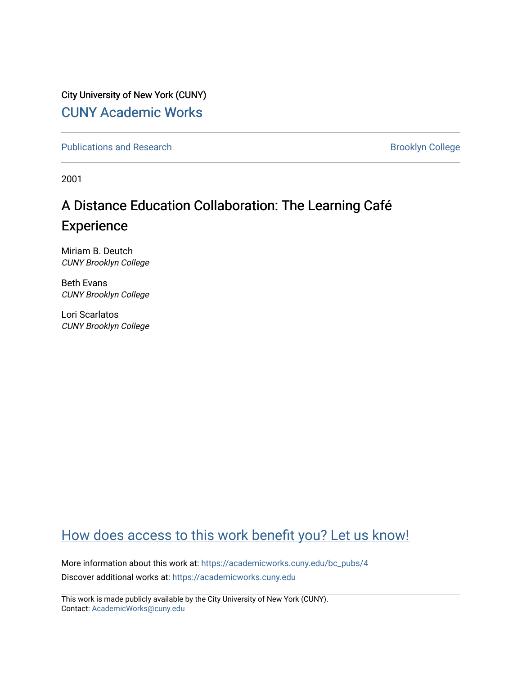City University of New York (CUNY) [CUNY Academic Works](https://academicworks.cuny.edu/) 

[Publications and Research](https://academicworks.cuny.edu/bc_pubs) **Brooklyn College** Brooklyn College

2001

# A Distance Education Collaboration: The Learning Café Experience

Miriam B. Deutch CUNY Brooklyn College

Beth Evans CUNY Brooklyn College

Lori Scarlatos CUNY Brooklyn College

# [How does access to this work benefit you? Let us know!](http://ols.cuny.edu/academicworks/?ref=https://academicworks.cuny.edu/bc_pubs/4)

More information about this work at: [https://academicworks.cuny.edu/bc\\_pubs/4](https://academicworks.cuny.edu/bc_pubs/4) Discover additional works at: [https://academicworks.cuny.edu](https://academicworks.cuny.edu/?)

This work is made publicly available by the City University of New York (CUNY). Contact: [AcademicWorks@cuny.edu](mailto:AcademicWorks@cuny.edu)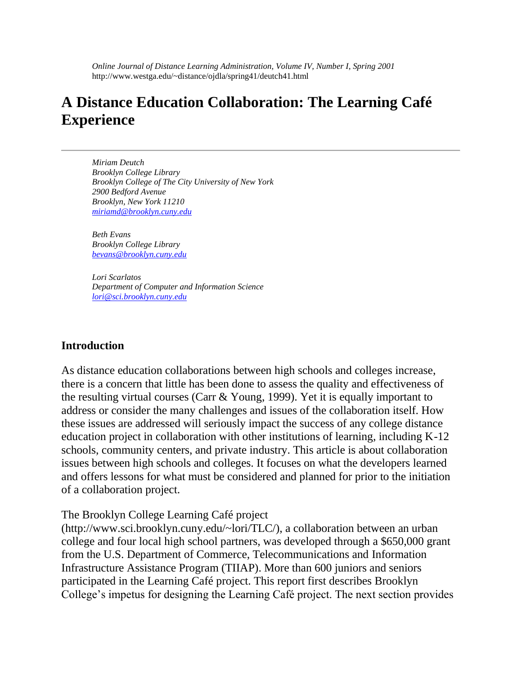*Online Journal of Distance Learning Administration, Volume IV, Number I, Spring 2001* http://www.westga.edu/~distance/ojdla/spring41/deutch41.html

# **A Distance Education Collaboration: The Learning Café Experience**

*Miriam Deutch Brooklyn College Library Brooklyn College of The City University of New York 2900 Bedford Avenue Brooklyn, New York 11210 miriamd@brooklyn.cuny.edu*

*Beth Evans Brooklyn College Library bevans@brooklyn.cuny.edu*

*Lori Scarlatos Department of Computer and Information Science lori@sci.brooklyn.cuny.edu*

#### **Introduction**

As distance education collaborations between high schools and colleges increase, there is a concern that little has been done to assess the quality and effectiveness of the resulting virtual courses (Carr & Young, 1999). Yet it is equally important to address or consider the many challenges and issues of the collaboration itself. How these issues are addressed will seriously impact the success of any college distance education project in collaboration with other institutions of learning, including K-12 schools, community centers, and private industry. This article is about collaboration issues between high schools and colleges. It focuses on what the developers learned and offers lessons for what must be considered and planned for prior to the initiation of a collaboration project.

The Brooklyn College Learning Café project

(http://www.sci.brooklyn.cuny.edu/~lori/TLC/), a collaboration between an urban college and four local high school partners, was developed through a \$650,000 grant from the U.S. Department of Commerce, Telecommunications and Information Infrastructure Assistance Program (TIIAP). More than 600 juniors and seniors participated in the Learning Café project. This report first describes Brooklyn College's impetus for designing the Learning Café project. The next section provides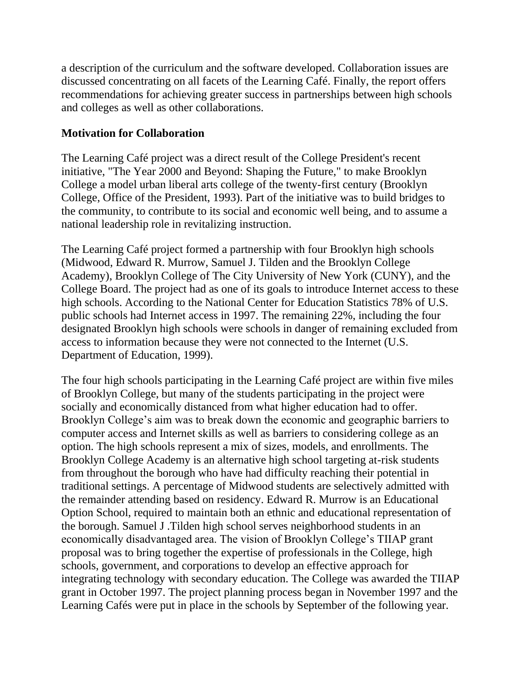a description of the curriculum and the software developed. Collaboration issues are discussed concentrating on all facets of the Learning Café. Finally, the report offers recommendations for achieving greater success in partnerships between high schools and colleges as well as other collaborations.

#### **Motivation for Collaboration**

The Learning Café project was a direct result of the College President's recent initiative, "The Year 2000 and Beyond: Shaping the Future," to make Brooklyn College a model urban liberal arts college of the twenty-first century (Brooklyn College, Office of the President, 1993). Part of the initiative was to build bridges to the community, to contribute to its social and economic well being, and to assume a national leadership role in revitalizing instruction.

The Learning Café project formed a partnership with four Brooklyn high schools (Midwood, Edward R. Murrow, Samuel J. Tilden and the Brooklyn College Academy), Brooklyn College of The City University of New York (CUNY), and the College Board. The project had as one of its goals to introduce Internet access to these high schools. According to the National Center for Education Statistics 78% of U.S. public schools had Internet access in 1997. The remaining 22%, including the four designated Brooklyn high schools were schools in danger of remaining excluded from access to information because they were not connected to the Internet (U.S. Department of Education, 1999).

The four high schools participating in the Learning Café project are within five miles of Brooklyn College, but many of the students participating in the project were socially and economically distanced from what higher education had to offer. Brooklyn College's aim was to break down the economic and geographic barriers to computer access and Internet skills as well as barriers to considering college as an option. The high schools represent a mix of sizes, models, and enrollments. The Brooklyn College Academy is an alternative high school targeting at-risk students from throughout the borough who have had difficulty reaching their potential in traditional settings. A percentage of Midwood students are selectively admitted with the remainder attending based on residency. Edward R. Murrow is an Educational Option School, required to maintain both an ethnic and educational representation of the borough. Samuel J .Tilden high school serves neighborhood students in an economically disadvantaged area. The vision of Brooklyn College's TIIAP grant proposal was to bring together the expertise of professionals in the College, high schools, government, and corporations to develop an effective approach for integrating technology with secondary education. The College was awarded the TIIAP grant in October 1997. The project planning process began in November 1997 and the Learning Cafés were put in place in the schools by September of the following year.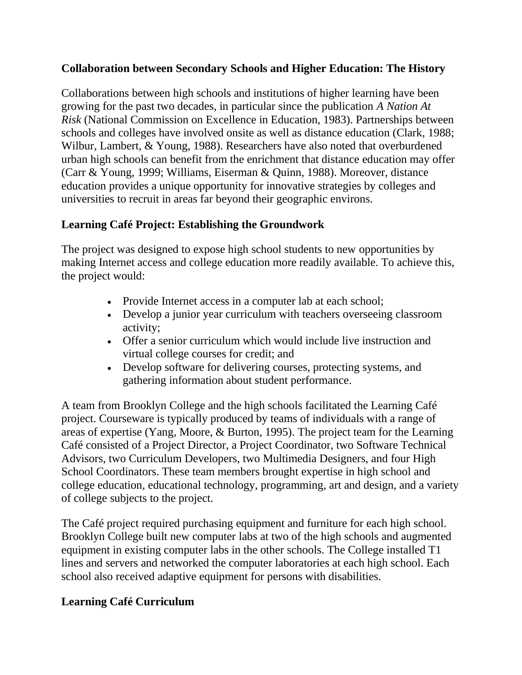## **Collaboration between Secondary Schools and Higher Education: The History**

Collaborations between high schools and institutions of higher learning have been growing for the past two decades, in particular since the publication *A Nation At Risk* (National Commission on Excellence in Education, 1983). Partnerships between schools and colleges have involved onsite as well as distance education (Clark, 1988; Wilbur, Lambert, & Young, 1988). Researchers have also noted that overburdened urban high schools can benefit from the enrichment that distance education may offer (Carr & Young, 1999; Williams, Eiserman & Quinn, 1988). Moreover, distance education provides a unique opportunity for innovative strategies by colleges and universities to recruit in areas far beyond their geographic environs.

## **Learning Café Project: Establishing the Groundwork**

The project was designed to expose high school students to new opportunities by making Internet access and college education more readily available. To achieve this, the project would:

- Provide Internet access in a computer lab at each school;
- Develop a junior year curriculum with teachers overseeing classroom activity;
- Offer a senior curriculum which would include live instruction and virtual college courses for credit; and
- Develop software for delivering courses, protecting systems, and gathering information about student performance.

A team from Brooklyn College and the high schools facilitated the Learning Café project. Courseware is typically produced by teams of individuals with a range of areas of expertise (Yang, Moore, & Burton, 1995). The project team for the Learning Café consisted of a Project Director, a Project Coordinator, two Software Technical Advisors, two Curriculum Developers, two Multimedia Designers, and four High School Coordinators. These team members brought expertise in high school and college education, educational technology, programming, art and design, and a variety of college subjects to the project.

The Café project required purchasing equipment and furniture for each high school. Brooklyn College built new computer labs at two of the high schools and augmented equipment in existing computer labs in the other schools. The College installed T1 lines and servers and networked the computer laboratories at each high school. Each school also received adaptive equipment for persons with disabilities.

## **Learning Café Curriculum**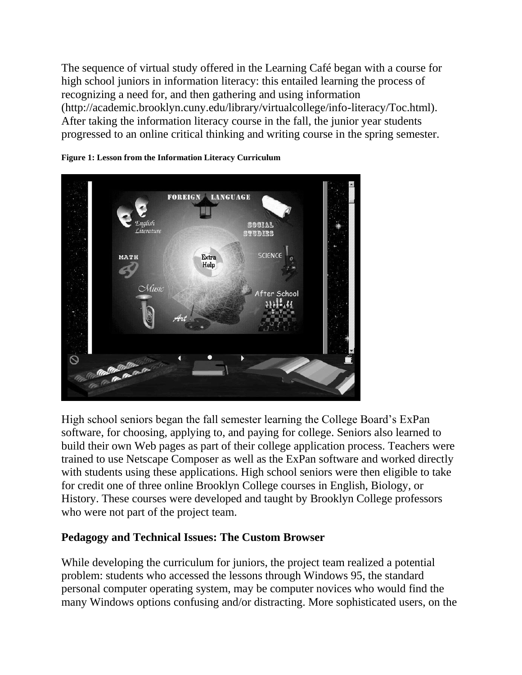The sequence of virtual study offered in the Learning Café began with a course for high school juniors in information literacy: this entailed learning the process of recognizing a need for, and then gathering and using information (http://academic.brooklyn.cuny.edu/library/virtualcollege/info-literacy/Toc.html). After taking the information literacy course in the fall, the junior year students progressed to an online critical thinking and writing course in the spring semester.





High school seniors began the fall semester learning the College Board's ExPan software, for choosing, applying to, and paying for college. Seniors also learned to build their own Web pages as part of their college application process. Teachers were trained to use Netscape Composer as well as the ExPan software and worked directly with students using these applications. High school seniors were then eligible to take for credit one of three online Brooklyn College courses in English, Biology, or History. These courses were developed and taught by Brooklyn College professors who were not part of the project team.

### **Pedagogy and Technical Issues: The Custom Browser**

While developing the curriculum for juniors, the project team realized a potential problem: students who accessed the lessons through Windows 95, the standard personal computer operating system, may be computer novices who would find the many Windows options confusing and/or distracting. More sophisticated users, on the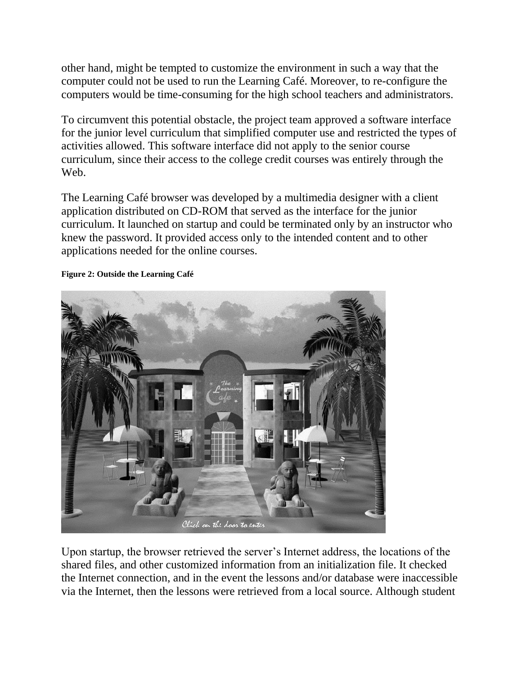other hand, might be tempted to customize the environment in such a way that the computer could not be used to run the Learning Café. Moreover, to re-configure the computers would be time-consuming for the high school teachers and administrators.

To circumvent this potential obstacle, the project team approved a software interface for the junior level curriculum that simplified computer use and restricted the types of activities allowed. This software interface did not apply to the senior course curriculum, since their access to the college credit courses was entirely through the Web.

The Learning Café browser was developed by a multimedia designer with a client application distributed on CD-ROM that served as the interface for the junior curriculum. It launched on startup and could be terminated only by an instructor who knew the password. It provided access only to the intended content and to other applications needed for the online courses.



#### **Figure 2: Outside the Learning Café**

Upon startup, the browser retrieved the server's Internet address, the locations of the shared files, and other customized information from an initialization file. It checked the Internet connection, and in the event the lessons and/or database were inaccessible via the Internet, then the lessons were retrieved from a local source. Although student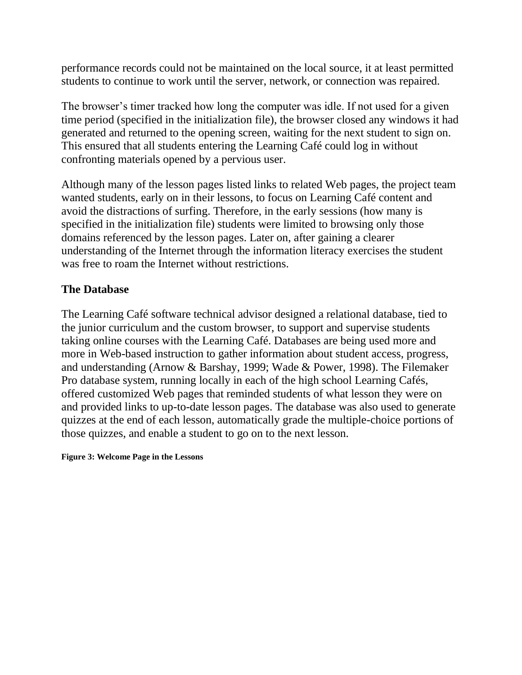performance records could not be maintained on the local source, it at least permitted students to continue to work until the server, network, or connection was repaired.

The browser's timer tracked how long the computer was idle. If not used for a given time period (specified in the initialization file), the browser closed any windows it had generated and returned to the opening screen, waiting for the next student to sign on. This ensured that all students entering the Learning Café could log in without confronting materials opened by a pervious user.

Although many of the lesson pages listed links to related Web pages, the project team wanted students, early on in their lessons, to focus on Learning Café content and avoid the distractions of surfing. Therefore, in the early sessions (how many is specified in the initialization file) students were limited to browsing only those domains referenced by the lesson pages. Later on, after gaining a clearer understanding of the Internet through the information literacy exercises the student was free to roam the Internet without restrictions.

### **The Database**

The Learning Café software technical advisor designed a relational database, tied to the junior curriculum and the custom browser, to support and supervise students taking online courses with the Learning Café. Databases are being used more and more in Web-based instruction to gather information about student access, progress, and understanding (Arnow & Barshay, 1999; Wade & Power, 1998). The Filemaker Pro database system, running locally in each of the high school Learning Cafés, offered customized Web pages that reminded students of what lesson they were on and provided links to up-to-date lesson pages. The database was also used to generate quizzes at the end of each lesson, automatically grade the multiple-choice portions of those quizzes, and enable a student to go on to the next lesson.

**Figure 3: Welcome Page in the Lessons**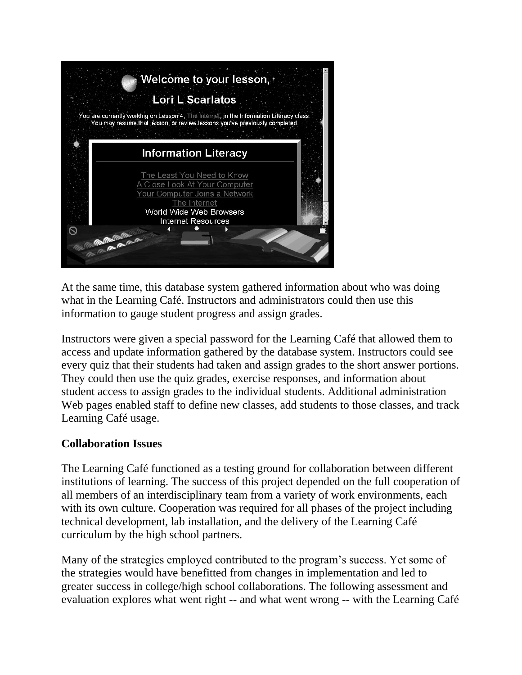

At the same time, this database system gathered information about who was doing what in the Learning Café. Instructors and administrators could then use this information to gauge student progress and assign grades.

Instructors were given a special password for the Learning Café that allowed them to access and update information gathered by the database system. Instructors could see every quiz that their students had taken and assign grades to the short answer portions. They could then use the quiz grades, exercise responses, and information about student access to assign grades to the individual students. Additional administration Web pages enabled staff to define new classes, add students to those classes, and track Learning Café usage.

#### **Collaboration Issues**

The Learning Café functioned as a testing ground for collaboration between different institutions of learning. The success of this project depended on the full cooperation of all members of an interdisciplinary team from a variety of work environments, each with its own culture. Cooperation was required for all phases of the project including technical development, lab installation, and the delivery of the Learning Café curriculum by the high school partners.

Many of the strategies employed contributed to the program's success. Yet some of the strategies would have benefitted from changes in implementation and led to greater success in college/high school collaborations. The following assessment and evaluation explores what went right -- and what went wrong -- with the Learning Café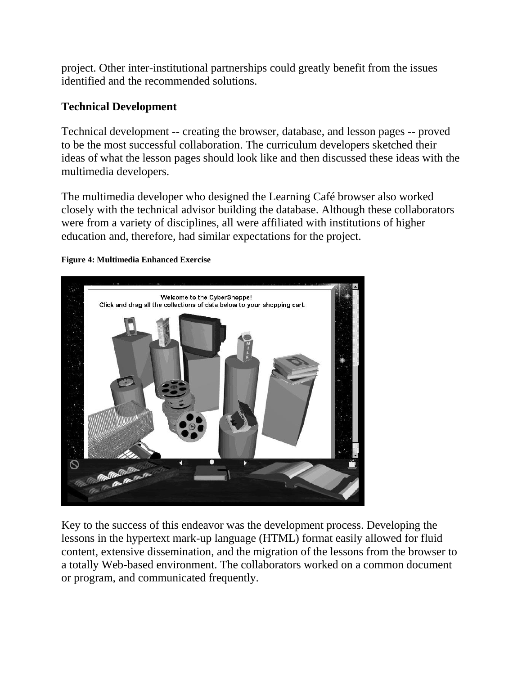project. Other inter-institutional partnerships could greatly benefit from the issues identified and the recommended solutions.

## **Technical Development**

Technical development -- creating the browser, database, and lesson pages -- proved to be the most successful collaboration. The curriculum developers sketched their ideas of what the lesson pages should look like and then discussed these ideas with the multimedia developers.

The multimedia developer who designed the Learning Café browser also worked closely with the technical advisor building the database. Although these collaborators were from a variety of disciplines, all were affiliated with institutions of higher education and, therefore, had similar expectations for the project.

#### **Figure 4: Multimedia Enhanced Exercise**



Key to the success of this endeavor was the development process. Developing the lessons in the hypertext mark-up language (HTML) format easily allowed for fluid content, extensive dissemination, and the migration of the lessons from the browser to a totally Web-based environment. The collaborators worked on a common document or program, and communicated frequently.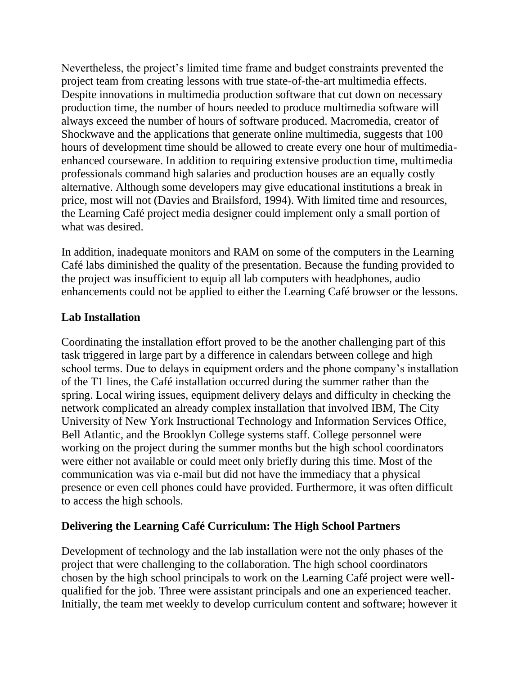Nevertheless, the project's limited time frame and budget constraints prevented the project team from creating lessons with true state-of-the-art multimedia effects. Despite innovations in multimedia production software that cut down on necessary production time, the number of hours needed to produce multimedia software will always exceed the number of hours of software produced. Macromedia, creator of Shockwave and the applications that generate online multimedia, suggests that 100 hours of development time should be allowed to create every one hour of multimediaenhanced courseware. In addition to requiring extensive production time, multimedia professionals command high salaries and production houses are an equally costly alternative. Although some developers may give educational institutions a break in price, most will not (Davies and Brailsford, 1994). With limited time and resources, the Learning Café project media designer could implement only a small portion of what was desired.

In addition, inadequate monitors and RAM on some of the computers in the Learning Café labs diminished the quality of the presentation. Because the funding provided to the project was insufficient to equip all lab computers with headphones, audio enhancements could not be applied to either the Learning Café browser or the lessons.

### **Lab Installation**

Coordinating the installation effort proved to be the another challenging part of this task triggered in large part by a difference in calendars between college and high school terms. Due to delays in equipment orders and the phone company's installation of the T1 lines, the Café installation occurred during the summer rather than the spring. Local wiring issues, equipment delivery delays and difficulty in checking the network complicated an already complex installation that involved IBM, The City University of New York Instructional Technology and Information Services Office, Bell Atlantic, and the Brooklyn College systems staff. College personnel were working on the project during the summer months but the high school coordinators were either not available or could meet only briefly during this time. Most of the communication was via e-mail but did not have the immediacy that a physical presence or even cell phones could have provided. Furthermore, it was often difficult to access the high schools.

# **Delivering the Learning Café Curriculum: The High School Partners**

Development of technology and the lab installation were not the only phases of the project that were challenging to the collaboration. The high school coordinators chosen by the high school principals to work on the Learning Café project were wellqualified for the job. Three were assistant principals and one an experienced teacher. Initially, the team met weekly to develop curriculum content and software; however it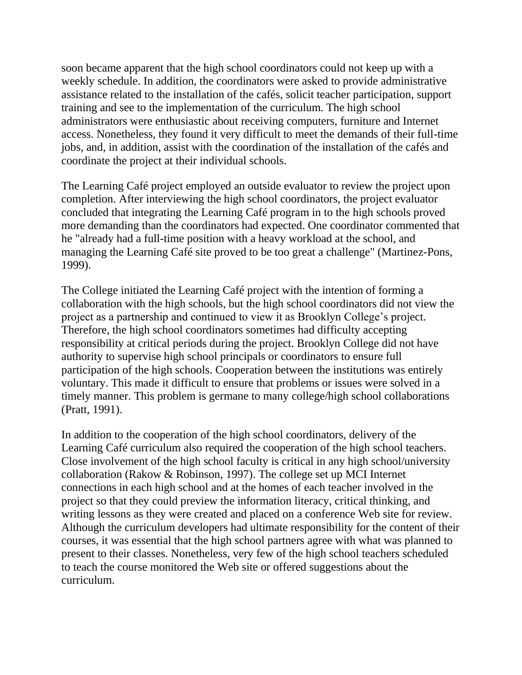soon became apparent that the high school coordinators could not keep up with a weekly schedule. In addition, the coordinators were asked to provide administrative assistance related to the installation of the cafés, solicit teacher participation, support training and see to the implementation of the curriculum. The high school administrators were enthusiastic about receiving computers, furniture and Internet access. Nonetheless, they found it very difficult to meet the demands of their full-time jobs, and, in addition, assist with the coordination of the installation of the cafés and coordinate the project at their individual schools.

The Learning Café project employed an outside evaluator to review the project upon completion. After interviewing the high school coordinators, the project evaluator concluded that integrating the Learning Café program in to the high schools proved more demanding than the coordinators had expected. One coordinator commented that he "already had a full-time position with a heavy workload at the school, and managing the Learning Café site proved to be too great a challenge" (Martinez-Pons, 1999).

The College initiated the Learning Café project with the intention of forming a collaboration with the high schools, but the high school coordinators did not view the project as a partnership and continued to view it as Brooklyn College's project. Therefore, the high school coordinators sometimes had difficulty accepting responsibility at critical periods during the project. Brooklyn College did not have authority to supervise high school principals or coordinators to ensure full participation of the high schools. Cooperation between the institutions was entirely voluntary. This made it difficult to ensure that problems or issues were solved in a timely manner. This problem is germane to many college/high school collaborations (Pratt, 1991).

In addition to the cooperation of the high school coordinators, delivery of the Learning Café curriculum also required the cooperation of the high school teachers. Close involvement of the high school faculty is critical in any high school/university collaboration (Rakow & Robinson, 1997). The college set up MCI Internet connections in each high school and at the homes of each teacher involved in the project so that they could preview the information literacy, critical thinking, and writing lessons as they were created and placed on a conference Web site for review. Although the curriculum developers had ultimate responsibility for the content of their courses, it was essential that the high school partners agree with what was planned to present to their classes. Nonetheless, very few of the high school teachers scheduled to teach the course monitored the Web site or offered suggestions about the curriculum.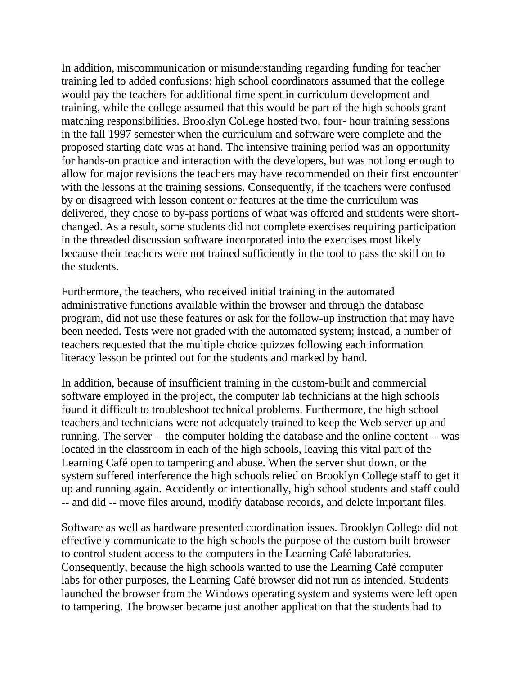In addition, miscommunication or misunderstanding regarding funding for teacher training led to added confusions: high school coordinators assumed that the college would pay the teachers for additional time spent in curriculum development and training, while the college assumed that this would be part of the high schools grant matching responsibilities. Brooklyn College hosted two, four- hour training sessions in the fall 1997 semester when the curriculum and software were complete and the proposed starting date was at hand. The intensive training period was an opportunity for hands-on practice and interaction with the developers, but was not long enough to allow for major revisions the teachers may have recommended on their first encounter with the lessons at the training sessions. Consequently, if the teachers were confused by or disagreed with lesson content or features at the time the curriculum was delivered, they chose to by-pass portions of what was offered and students were shortchanged. As a result, some students did not complete exercises requiring participation in the threaded discussion software incorporated into the exercises most likely because their teachers were not trained sufficiently in the tool to pass the skill on to the students.

Furthermore, the teachers, who received initial training in the automated administrative functions available within the browser and through the database program, did not use these features or ask for the follow-up instruction that may have been needed. Tests were not graded with the automated system; instead, a number of teachers requested that the multiple choice quizzes following each information literacy lesson be printed out for the students and marked by hand.

In addition, because of insufficient training in the custom-built and commercial software employed in the project, the computer lab technicians at the high schools found it difficult to troubleshoot technical problems. Furthermore, the high school teachers and technicians were not adequately trained to keep the Web server up and running. The server -- the computer holding the database and the online content -- was located in the classroom in each of the high schools, leaving this vital part of the Learning Café open to tampering and abuse. When the server shut down, or the system suffered interference the high schools relied on Brooklyn College staff to get it up and running again. Accidently or intentionally, high school students and staff could -- and did -- move files around, modify database records, and delete important files.

Software as well as hardware presented coordination issues. Brooklyn College did not effectively communicate to the high schools the purpose of the custom built browser to control student access to the computers in the Learning Café laboratories. Consequently, because the high schools wanted to use the Learning Café computer labs for other purposes, the Learning Café browser did not run as intended. Students launched the browser from the Windows operating system and systems were left open to tampering. The browser became just another application that the students had to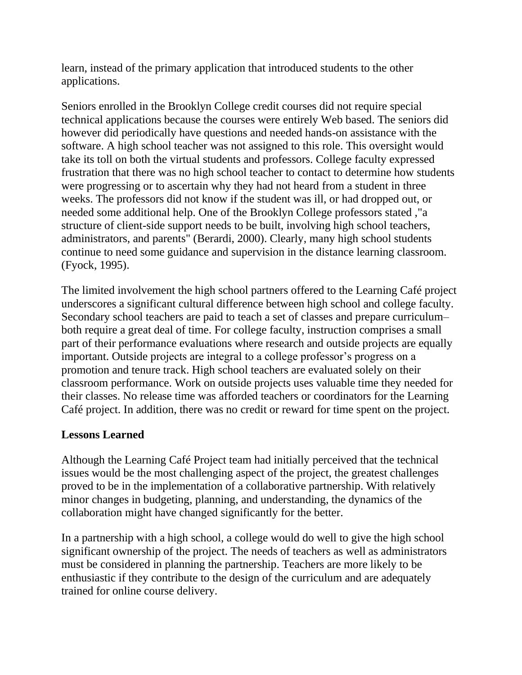learn, instead of the primary application that introduced students to the other applications.

Seniors enrolled in the Brooklyn College credit courses did not require special technical applications because the courses were entirely Web based. The seniors did however did periodically have questions and needed hands-on assistance with the software. A high school teacher was not assigned to this role. This oversight would take its toll on both the virtual students and professors. College faculty expressed frustration that there was no high school teacher to contact to determine how students were progressing or to ascertain why they had not heard from a student in three weeks. The professors did not know if the student was ill, or had dropped out, or needed some additional help. One of the Brooklyn College professors stated ,"a structure of client-side support needs to be built, involving high school teachers, administrators, and parents" (Berardi, 2000). Clearly, many high school students continue to need some guidance and supervision in the distance learning classroom. (Fyock, 1995).

The limited involvement the high school partners offered to the Learning Café project underscores a significant cultural difference between high school and college faculty. Secondary school teachers are paid to teach a set of classes and prepare curriculum– both require a great deal of time. For college faculty, instruction comprises a small part of their performance evaluations where research and outside projects are equally important. Outside projects are integral to a college professor's progress on a promotion and tenure track. High school teachers are evaluated solely on their classroom performance. Work on outside projects uses valuable time they needed for their classes. No release time was afforded teachers or coordinators for the Learning Café project. In addition, there was no credit or reward for time spent on the project.

### **Lessons Learned**

Although the Learning Café Project team had initially perceived that the technical issues would be the most challenging aspect of the project, the greatest challenges proved to be in the implementation of a collaborative partnership. With relatively minor changes in budgeting, planning, and understanding, the dynamics of the collaboration might have changed significantly for the better.

In a partnership with a high school, a college would do well to give the high school significant ownership of the project. The needs of teachers as well as administrators must be considered in planning the partnership. Teachers are more likely to be enthusiastic if they contribute to the design of the curriculum and are adequately trained for online course delivery.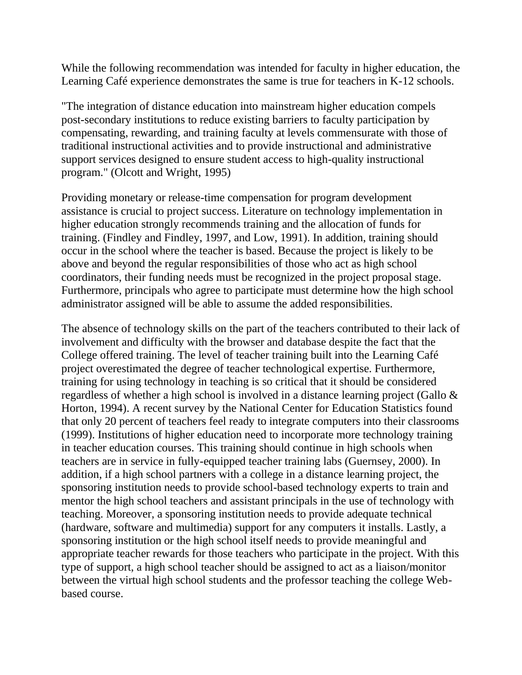While the following recommendation was intended for faculty in higher education, the Learning Café experience demonstrates the same is true for teachers in K-12 schools.

"The integration of distance education into mainstream higher education compels post-secondary institutions to reduce existing barriers to faculty participation by compensating, rewarding, and training faculty at levels commensurate with those of traditional instructional activities and to provide instructional and administrative support services designed to ensure student access to high-quality instructional program." (Olcott and Wright, 1995)

Providing monetary or release-time compensation for program development assistance is crucial to project success. Literature on technology implementation in higher education strongly recommends training and the allocation of funds for training. (Findley and Findley, 1997, and Low, 1991). In addition, training should occur in the school where the teacher is based. Because the project is likely to be above and beyond the regular responsibilities of those who act as high school coordinators, their funding needs must be recognized in the project proposal stage. Furthermore, principals who agree to participate must determine how the high school administrator assigned will be able to assume the added responsibilities.

The absence of technology skills on the part of the teachers contributed to their lack of involvement and difficulty with the browser and database despite the fact that the College offered training. The level of teacher training built into the Learning Café project overestimated the degree of teacher technological expertise. Furthermore, training for using technology in teaching is so critical that it should be considered regardless of whether a high school is involved in a distance learning project (Gallo & Horton, 1994). A recent survey by the National Center for Education Statistics found that only 20 percent of teachers feel ready to integrate computers into their classrooms (1999). Institutions of higher education need to incorporate more technology training in teacher education courses. This training should continue in high schools when teachers are in service in fully-equipped teacher training labs (Guernsey, 2000). In addition, if a high school partners with a college in a distance learning project, the sponsoring institution needs to provide school-based technology experts to train and mentor the high school teachers and assistant principals in the use of technology with teaching. Moreover, a sponsoring institution needs to provide adequate technical (hardware, software and multimedia) support for any computers it installs. Lastly, a sponsoring institution or the high school itself needs to provide meaningful and appropriate teacher rewards for those teachers who participate in the project. With this type of support, a high school teacher should be assigned to act as a liaison/monitor between the virtual high school students and the professor teaching the college Webbased course.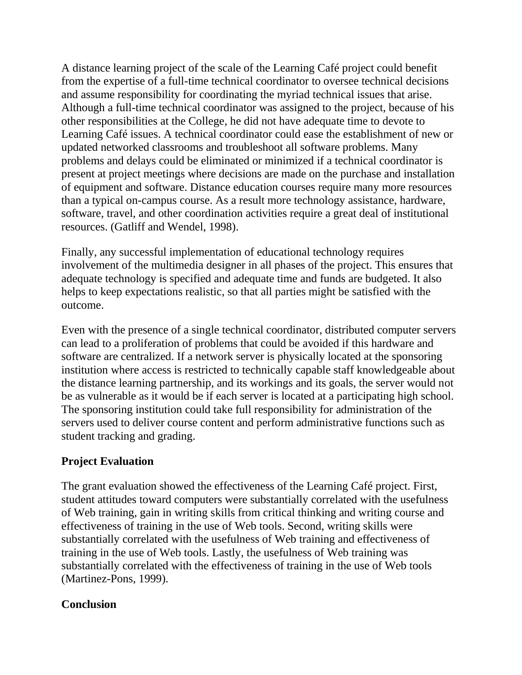A distance learning project of the scale of the Learning Café project could benefit from the expertise of a full-time technical coordinator to oversee technical decisions and assume responsibility for coordinating the myriad technical issues that arise. Although a full-time technical coordinator was assigned to the project, because of his other responsibilities at the College, he did not have adequate time to devote to Learning Café issues. A technical coordinator could ease the establishment of new or updated networked classrooms and troubleshoot all software problems. Many problems and delays could be eliminated or minimized if a technical coordinator is present at project meetings where decisions are made on the purchase and installation of equipment and software. Distance education courses require many more resources than a typical on-campus course. As a result more technology assistance, hardware, software, travel, and other coordination activities require a great deal of institutional resources. (Gatliff and Wendel, 1998).

Finally, any successful implementation of educational technology requires involvement of the multimedia designer in all phases of the project. This ensures that adequate technology is specified and adequate time and funds are budgeted. It also helps to keep expectations realistic, so that all parties might be satisfied with the outcome.

Even with the presence of a single technical coordinator, distributed computer servers can lead to a proliferation of problems that could be avoided if this hardware and software are centralized. If a network server is physically located at the sponsoring institution where access is restricted to technically capable staff knowledgeable about the distance learning partnership, and its workings and its goals, the server would not be as vulnerable as it would be if each server is located at a participating high school. The sponsoring institution could take full responsibility for administration of the servers used to deliver course content and perform administrative functions such as student tracking and grading.

## **Project Evaluation**

The grant evaluation showed the effectiveness of the Learning Café project. First, student attitudes toward computers were substantially correlated with the usefulness of Web training, gain in writing skills from critical thinking and writing course and effectiveness of training in the use of Web tools. Second, writing skills were substantially correlated with the usefulness of Web training and effectiveness of training in the use of Web tools. Lastly, the usefulness of Web training was substantially correlated with the effectiveness of training in the use of Web tools (Martinez-Pons, 1999).

### **Conclusion**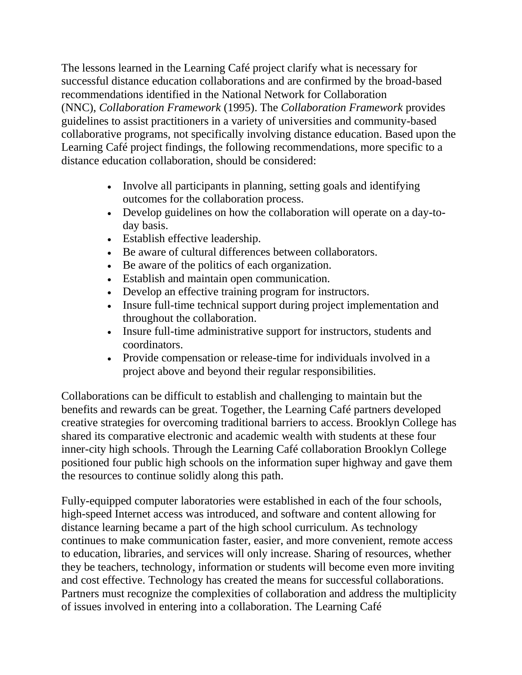The lessons learned in the Learning Café project clarify what is necessary for successful distance education collaborations and are confirmed by the broad-based recommendations identified in the National Network for Collaboration (NNC), *Collaboration Framework* (1995). The *Collaboration Framework* provides guidelines to assist practitioners in a variety of universities and community-based collaborative programs, not specifically involving distance education. Based upon the Learning Café project findings, the following recommendations, more specific to a distance education collaboration, should be considered:

- Involve all participants in planning, setting goals and identifying outcomes for the collaboration process.
- Develop guidelines on how the collaboration will operate on a day-today basis.
- Establish effective leadership.
- Be aware of cultural differences between collaborators.
- Be aware of the politics of each organization.
- Establish and maintain open communication.
- Develop an effective training program for instructors.
- Insure full-time technical support during project implementation and throughout the collaboration.
- Insure full-time administrative support for instructors, students and coordinators.
- Provide compensation or release-time for individuals involved in a project above and beyond their regular responsibilities.

Collaborations can be difficult to establish and challenging to maintain but the benefits and rewards can be great. Together, the Learning Café partners developed creative strategies for overcoming traditional barriers to access. Brooklyn College has shared its comparative electronic and academic wealth with students at these four inner-city high schools. Through the Learning Café collaboration Brooklyn College positioned four public high schools on the information super highway and gave them the resources to continue solidly along this path.

Fully-equipped computer laboratories were established in each of the four schools, high-speed Internet access was introduced, and software and content allowing for distance learning became a part of the high school curriculum. As technology continues to make communication faster, easier, and more convenient, remote access to education, libraries, and services will only increase. Sharing of resources, whether they be teachers, technology, information or students will become even more inviting and cost effective. Technology has created the means for successful collaborations. Partners must recognize the complexities of collaboration and address the multiplicity of issues involved in entering into a collaboration. The Learning Café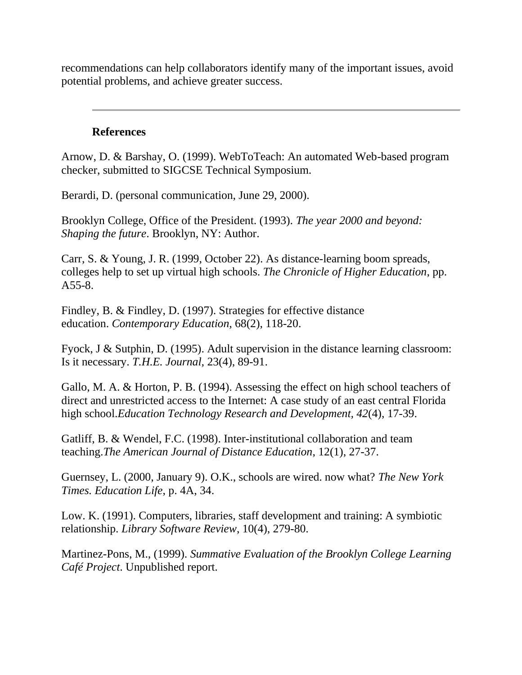recommendations can help collaborators identify many of the important issues, avoid potential problems, and achieve greater success.

#### **References**

Arnow, D. & Barshay, O. (1999). WebToTeach: An automated Web-based program checker, submitted to SIGCSE Technical Symposium.

Berardi, D. (personal communication, June 29, 2000).

Brooklyn College, Office of the President. (1993). *The year 2000 and beyond: Shaping the future*. Brooklyn, NY: Author.

Carr, S. & Young, J. R. (1999, October 22). As distance-learning boom spreads, colleges help to set up virtual high schools. *The Chronicle of Higher Education*, pp. A55-8.

Findley, B. & Findley, D. (1997). Strategies for effective distance education. *Contemporary Education,* 68(2), 118-20.

Fyock, J & Sutphin, D. (1995). Adult supervision in the distance learning classroom: Is it necessary. *T.H.E. Journal,* 23(4), 89-91.

Gallo, M. A. & Horton, P. B. (1994). Assessing the effect on high school teachers of direct and unrestricted access to the Internet: A case study of an east central Florida high school.*Education Technology Research and Development, 42*(4), 17-39.

Gatliff, B. & Wendel, F.C. (1998). Inter-institutional collaboration and team teaching.*The American Journal of Distance Education*, 12(1), 27-37.

Guernsey, L. (2000, January 9). O.K., schools are wired. now what? *The New York Times. Education Life*, p. 4A, 34.

Low. K. (1991). Computers, libraries, staff development and training: A symbiotic relationship. *Library Software Review*, 10(4), 279-80.

Martinez-Pons, M., (1999). *Summative Evaluation of the Brooklyn College Learning Café Project*. Unpublished report.